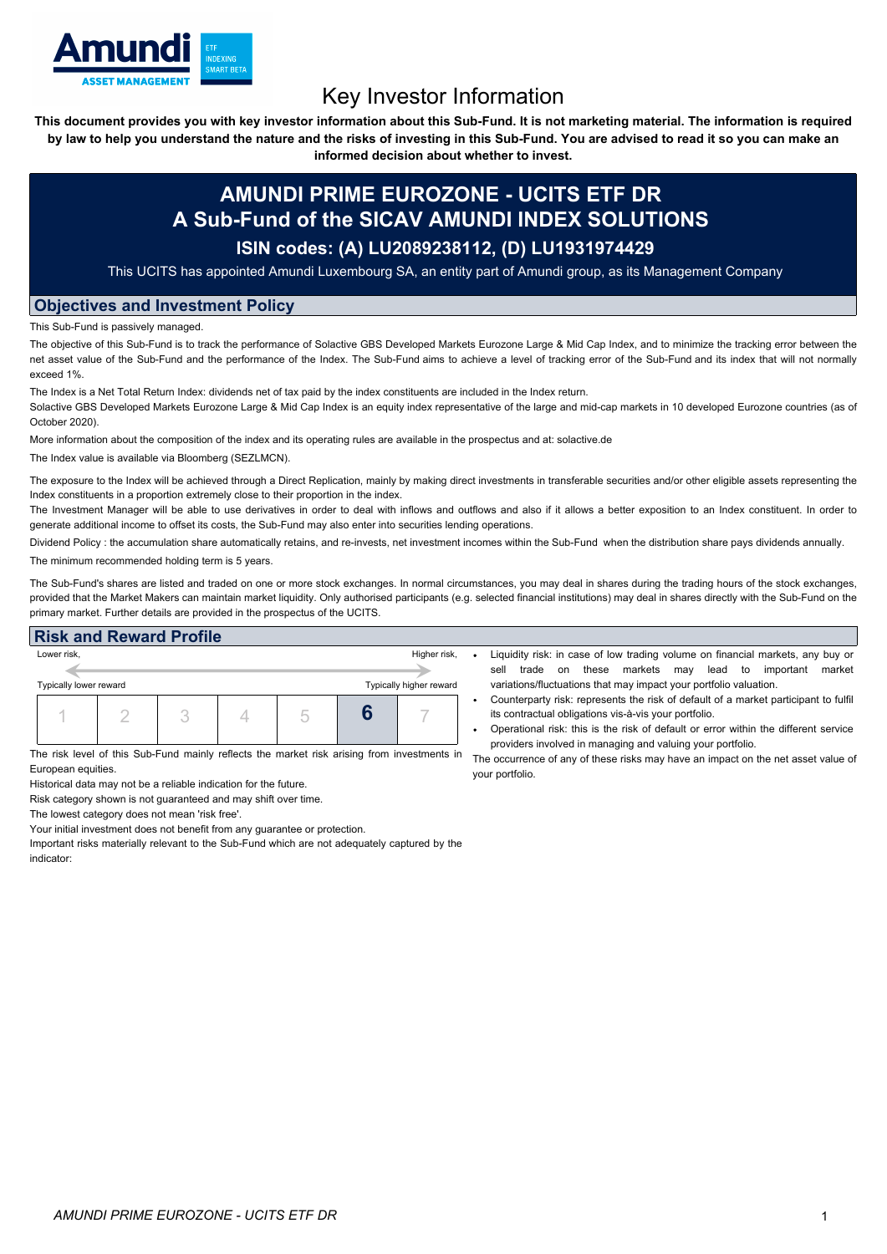

# Key Investor Information

This document provides you with key investor information about this Sub-Fund. It is not marketing material. The information is required by law to help you understand the nature and the risks of investing in this Sub-Fund. You are advised to read it so you can make an

**informed decision about whether to invest.**

## **AMUNDI PRIME EUROZONE - UCITS ETF DR A Sub-Fund of the SICAV AMUNDI INDEX SOLUTIONS**

### **ISIN codes: (A) LU2089238112, (D) LU1931974429**

This UCITS has appointed Amundi Luxembourg SA, an entity part of Amundi group, as its Management Company

### **Objectives and Investment Policy**

This Sub-Fund is passively managed.

The objective of this Sub-Fund is to track the performance of Solactive GBS Developed Markets Eurozone Large & Mid Cap Index, and to minimize the tracking error between the net asset value of the Sub-Fund and the performance of the Index. The Sub-Fund aims to achieve a level of tracking error of the Sub-Fund and its index that will not normally exceed 1%.

The Index is a Net Total Return Index: dividends net of tax paid by the index constituents are included in the Index return.

Solactive GBS Developed Markets Eurozone Large & Mid Cap Index is an equity index representative of the large and mid-cap markets in 10 developed Eurozone countries (as of October 2020).

More information about the composition of the index and its operating rules are available in the prospectus and at: solactive.de

The Index value is available via Bloomberg (SEZLMCN).

The exposure to the Index will be achieved through a Direct Replication, mainly by making direct investments in transferable securities and/or other eligible assets representing the Index constituents in a proportion extremely close to their proportion in the index.

The Investment Manager will be able to use derivatives in order to deal with inflows and outflows and also if it allows a better exposition to an Index constituent. In order to generate additional income to offset its costs, the Sub-Fund may also enter into securities lending operations.

Dividend Policy : the accumulation share automatically retains, and re-invests, net investment incomes within the Sub-Fund when the distribution share pays dividends annually. The minimum recommended holding term is 5 years.

The Sub-Fund's shares are listed and traded on one or more stock exchanges. In normal circumstances, you may deal in shares during the trading hours of the stock exchanges, provided that the Market Makers can maintain market liquidity. Only authorised participants (e.g. selected financial institutions) may deal in shares directly with the Sub-Fund on the primary market. Further details are provided in the prospectus of the UCITS.

#### **Risk and Reward Profile**

| Lower risk,            |  | Higher risk, |  |                         |
|------------------------|--|--------------|--|-------------------------|
| Typically lower reward |  |              |  | Typically higher reward |
|                        |  |              |  |                         |

The risk level of this Sub-Fund mainly reflects the market risk arising from investments in \_ The occurrence of any of these risks may have an impact on the net asset value of European equities.

Historical data may not be a reliable indication for the future.

Risk category shown is not guaranteed and may shift over time.

The lowest category does not mean 'risk free'.

Your initial investment does not benefit from any guarantee or protection.

Important risks materially relevant to the Sub-Fund which are not adequately captured by the indicator:

- Liquidity risk: in case of low trading volume on financial markets, any buy or sell trade on these markets may lead to important market variations/fluctuations that may impact your portfolio valuation.
- Counterparty risk: represents the risk of default of a market participant to fulfil its contractual obligations vis-à-vis your portfolio.
- Operational risk: this is the risk of default or error within the different service providers involved in managing and valuing your portfolio.

your portfolio.